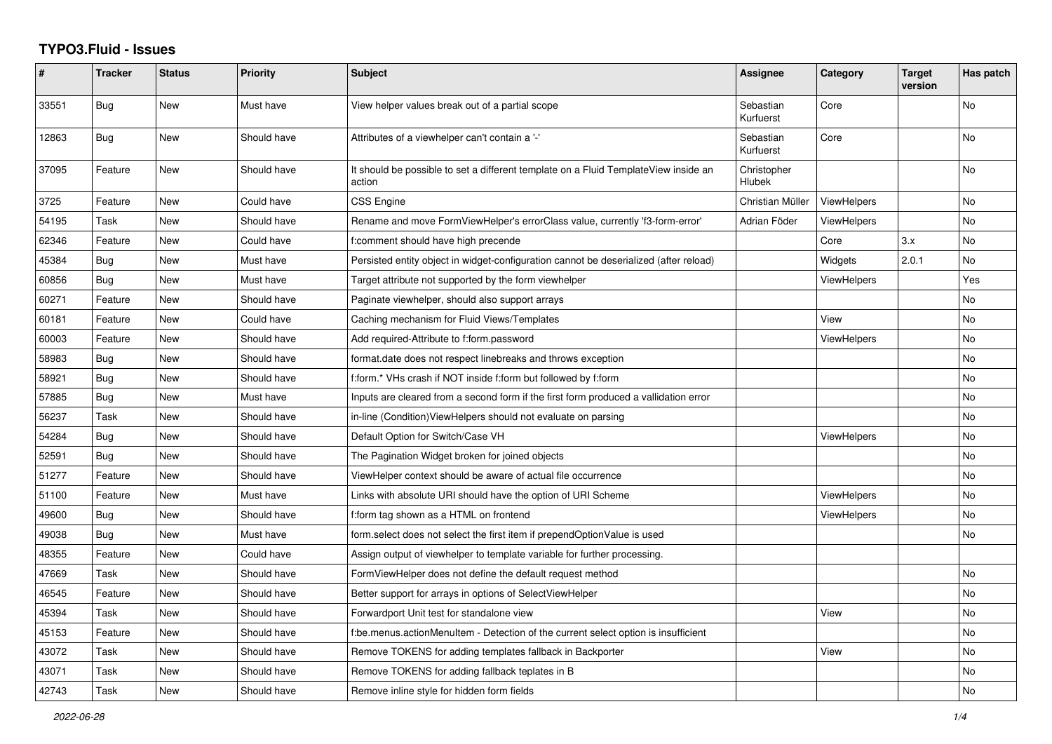## **TYPO3.Fluid - Issues**

| #     | <b>Tracker</b> | <b>Status</b> | Priority    | Subject                                                                                       | Assignee               | Category           | <b>Target</b><br>version | Has patch |
|-------|----------------|---------------|-------------|-----------------------------------------------------------------------------------------------|------------------------|--------------------|--------------------------|-----------|
| 33551 | <b>Bug</b>     | <b>New</b>    | Must have   | View helper values break out of a partial scope                                               | Sebastian<br>Kurfuerst | Core               |                          | No        |
| 12863 | Bug            | New           | Should have | Attributes of a viewhelper can't contain a '-'                                                | Sebastian<br>Kurfuerst | Core               |                          | No        |
| 37095 | Feature        | New           | Should have | It should be possible to set a different template on a Fluid TemplateView inside an<br>action | Christopher<br>Hlubek  |                    |                          | No        |
| 3725  | Feature        | New           | Could have  | <b>CSS Engine</b>                                                                             | Christian Müller       | <b>ViewHelpers</b> |                          | No        |
| 54195 | Task           | New           | Should have | Rename and move FormViewHelper's errorClass value, currently 'f3-form-error'                  | Adrian Föder           | <b>ViewHelpers</b> |                          | No        |
| 62346 | Feature        | New           | Could have  | f:comment should have high precende                                                           |                        | Core               | 3.x                      | No        |
| 45384 | <b>Bug</b>     | New           | Must have   | Persisted entity object in widget-configuration cannot be deserialized (after reload)         |                        | Widgets            | 2.0.1                    | No        |
| 60856 | Bug            | <b>New</b>    | Must have   | Target attribute not supported by the form viewhelper                                         |                        | <b>ViewHelpers</b> |                          | Yes       |
| 60271 | Feature        | New           | Should have | Paginate viewhelper, should also support arrays                                               |                        |                    |                          | No        |
| 60181 | Feature        | New           | Could have  | Caching mechanism for Fluid Views/Templates                                                   |                        | View               |                          | No.       |
| 60003 | Feature        | New           | Should have | Add required-Attribute to f:form.password                                                     |                        | ViewHelpers        |                          | No        |
| 58983 | Bug            | New           | Should have | format.date does not respect linebreaks and throws exception                                  |                        |                    |                          | No        |
| 58921 | Bug            | New           | Should have | f:form.* VHs crash if NOT inside f:form but followed by f:form                                |                        |                    |                          | No        |
| 57885 | Bug            | New           | Must have   | Inputs are cleared from a second form if the first form produced a vallidation error          |                        |                    |                          | No        |
| 56237 | Task           | New           | Should have | in-line (Condition) View Helpers should not evaluate on parsing                               |                        |                    |                          | No        |
| 54284 | Bug            | <b>New</b>    | Should have | Default Option for Switch/Case VH                                                             |                        | <b>ViewHelpers</b> |                          | No        |
| 52591 | Bug            | New           | Should have | The Pagination Widget broken for joined objects                                               |                        |                    |                          | No        |
| 51277 | Feature        | New           | Should have | ViewHelper context should be aware of actual file occurrence                                  |                        |                    |                          | No        |
| 51100 | Feature        | New           | Must have   | Links with absolute URI should have the option of URI Scheme                                  |                        | <b>ViewHelpers</b> |                          | No        |
| 49600 | Bug            | New           | Should have | f:form tag shown as a HTML on frontend                                                        |                        | <b>ViewHelpers</b> |                          | No        |
| 49038 | Bug            | <b>New</b>    | Must have   | form select does not select the first item if prependOptionValue is used                      |                        |                    |                          | No        |
| 48355 | Feature        | New           | Could have  | Assign output of viewhelper to template variable for further processing.                      |                        |                    |                          |           |
| 47669 | Task           | New           | Should have | FormViewHelper does not define the default request method                                     |                        |                    |                          | <b>No</b> |
| 46545 | Feature        | New           | Should have | Better support for arrays in options of SelectViewHelper                                      |                        |                    |                          | No        |
| 45394 | Task           | <b>New</b>    | Should have | Forwardport Unit test for standalone view                                                     |                        | View               |                          | No        |
| 45153 | Feature        | <b>New</b>    | Should have | f:be.menus.actionMenuItem - Detection of the current select option is insufficient            |                        |                    |                          | No        |
| 43072 | Task           | New           | Should have | Remove TOKENS for adding templates fallback in Backporter                                     |                        | View               |                          | No        |
| 43071 | Task           | New           | Should have | Remove TOKENS for adding fallback teplates in B                                               |                        |                    |                          | No        |
| 42743 | Task           | <b>New</b>    | Should have | Remove inline style for hidden form fields                                                    |                        |                    |                          | No        |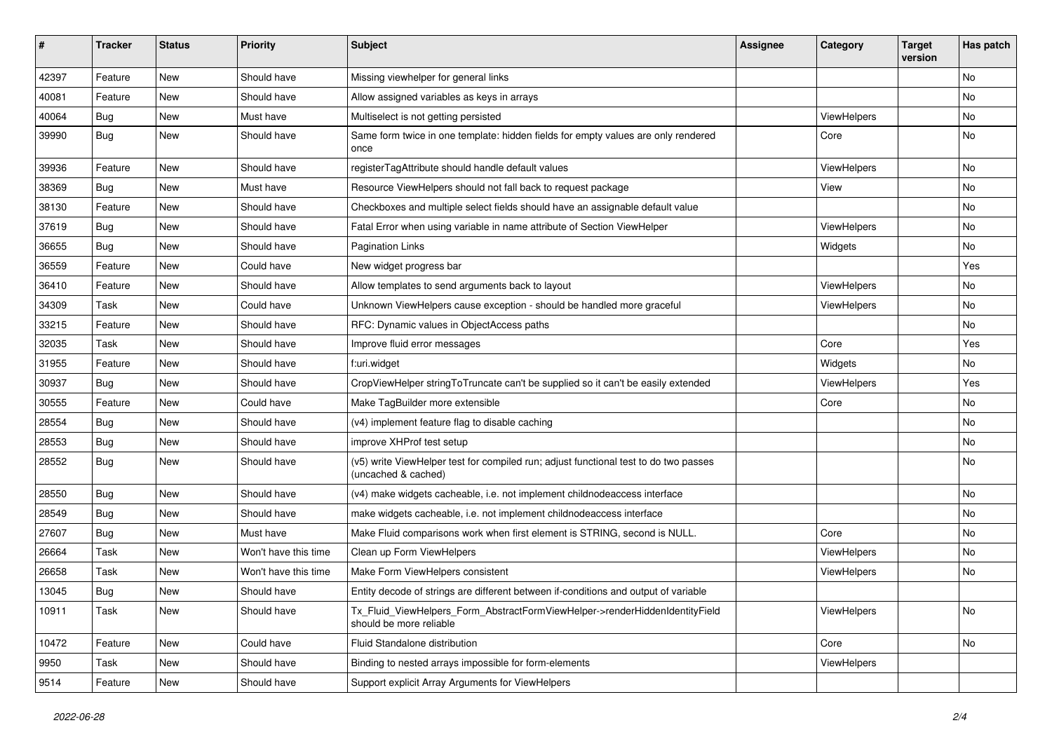| $\pmb{\#}$ | <b>Tracker</b> | <b>Status</b> | <b>Priority</b>      | <b>Subject</b>                                                                                              | <b>Assignee</b> | Category           | <b>Target</b><br>version | Has patch |
|------------|----------------|---------------|----------------------|-------------------------------------------------------------------------------------------------------------|-----------------|--------------------|--------------------------|-----------|
| 42397      | Feature        | <b>New</b>    | Should have          | Missing viewhelper for general links                                                                        |                 |                    |                          | <b>No</b> |
| 40081      | Feature        | New           | Should have          | Allow assigned variables as keys in arrays                                                                  |                 |                    |                          | No        |
| 40064      | <b>Bug</b>     | New           | Must have            | Multiselect is not getting persisted                                                                        |                 | <b>ViewHelpers</b> |                          | <b>No</b> |
| 39990      | <b>Bug</b>     | New           | Should have          | Same form twice in one template: hidden fields for empty values are only rendered<br>once                   |                 | Core               |                          | No        |
| 39936      | Feature        | New           | Should have          | registerTagAttribute should handle default values                                                           |                 | ViewHelpers        |                          | No        |
| 38369      | <b>Bug</b>     | New           | Must have            | Resource ViewHelpers should not fall back to request package                                                |                 | View               |                          | No        |
| 38130      | Feature        | New           | Should have          | Checkboxes and multiple select fields should have an assignable default value                               |                 |                    |                          | No        |
| 37619      | Bug            | New           | Should have          | Fatal Error when using variable in name attribute of Section ViewHelper                                     |                 | ViewHelpers        |                          | No        |
| 36655      | <b>Bug</b>     | New           | Should have          | <b>Pagination Links</b>                                                                                     |                 | Widgets            |                          | No        |
| 36559      | Feature        | <b>New</b>    | Could have           | New widget progress bar                                                                                     |                 |                    |                          | Yes       |
| 36410      | Feature        | New           | Should have          | Allow templates to send arguments back to layout                                                            |                 | ViewHelpers        |                          | No        |
| 34309      | Task           | New           | Could have           | Unknown ViewHelpers cause exception - should be handled more graceful                                       |                 | ViewHelpers        |                          | No        |
| 33215      | Feature        | New           | Should have          | RFC: Dynamic values in ObjectAccess paths                                                                   |                 |                    |                          | No        |
| 32035      | Task           | New           | Should have          | Improve fluid error messages                                                                                |                 | Core               |                          | Yes       |
| 31955      | Feature        | New           | Should have          | f:uri.widget                                                                                                |                 | Widgets            |                          | No        |
| 30937      | <b>Bug</b>     | New           | Should have          | CropViewHelper stringToTruncate can't be supplied so it can't be easily extended                            |                 | ViewHelpers        |                          | Yes       |
| 30555      | Feature        | New           | Could have           | Make TagBuilder more extensible                                                                             |                 | Core               |                          | No        |
| 28554      | Bug            | New           | Should have          | (v4) implement feature flag to disable caching                                                              |                 |                    |                          | No        |
| 28553      | <b>Bug</b>     | New           | Should have          | improve XHProf test setup                                                                                   |                 |                    |                          | No        |
| 28552      | <b>Bug</b>     | New           | Should have          | (v5) write ViewHelper test for compiled run; adjust functional test to do two passes<br>(uncached & cached) |                 |                    |                          | No        |
| 28550      | Bug            | New           | Should have          | (v4) make widgets cacheable, i.e. not implement childnodeaccess interface                                   |                 |                    |                          | No        |
| 28549      | Bug            | New           | Should have          | make widgets cacheable, i.e. not implement childnodeaccess interface                                        |                 |                    |                          | <b>No</b> |
| 27607      | <b>Bug</b>     | New           | Must have            | Make Fluid comparisons work when first element is STRING, second is NULL.                                   |                 | Core               |                          | No        |
| 26664      | Task           | New           | Won't have this time | Clean up Form ViewHelpers                                                                                   |                 | ViewHelpers        |                          | No        |
| 26658      | Task           | New           | Won't have this time | Make Form ViewHelpers consistent                                                                            |                 | ViewHelpers        |                          | No        |
| 13045      | Bug            | New           | Should have          | Entity decode of strings are different between if-conditions and output of variable                         |                 |                    |                          |           |
| 10911      | Task           | New           | Should have          | Tx_Fluid_ViewHelpers_Form_AbstractFormViewHelper->renderHiddenIdentityField<br>should be more reliable      |                 | ViewHelpers        |                          | No        |
| 10472      | Feature        | New           | Could have           | Fluid Standalone distribution                                                                               |                 | Core               |                          | No        |
| 9950       | Task           | New           | Should have          | Binding to nested arrays impossible for form-elements                                                       |                 | ViewHelpers        |                          |           |
| 9514       | Feature        | New           | Should have          | Support explicit Array Arguments for ViewHelpers                                                            |                 |                    |                          |           |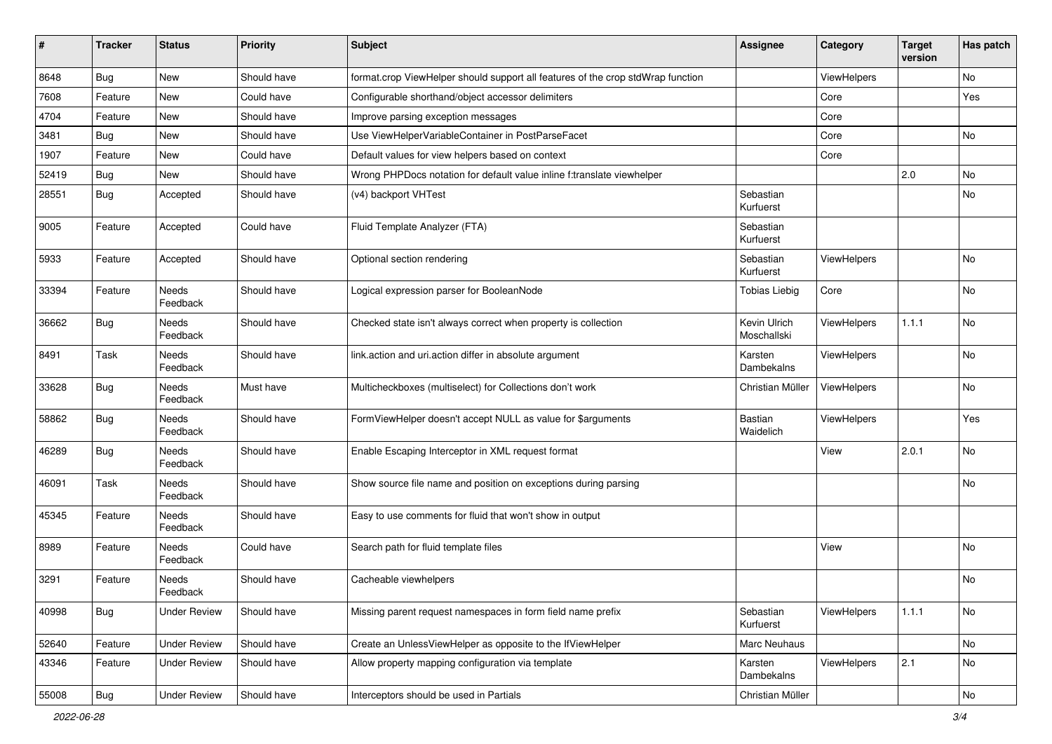| $\sharp$ | <b>Tracker</b> | <b>Status</b>       | <b>Priority</b> | Subject                                                                         | <b>Assignee</b>             | Category    | <b>Target</b><br>version | Has patch |
|----------|----------------|---------------------|-----------------|---------------------------------------------------------------------------------|-----------------------------|-------------|--------------------------|-----------|
| 8648     | Bug            | New                 | Should have     | format.crop ViewHelper should support all features of the crop stdWrap function |                             | ViewHelpers |                          | No        |
| 7608     | Feature        | New                 | Could have      | Configurable shorthand/object accessor delimiters                               |                             | Core        |                          | Yes       |
| 4704     | Feature        | New                 | Should have     | Improve parsing exception messages                                              |                             | Core        |                          |           |
| 3481     | Bug            | New                 | Should have     | Use ViewHelperVariableContainer in PostParseFacet                               |                             | Core        |                          | No        |
| 1907     | Feature        | New                 | Could have      | Default values for view helpers based on context                                |                             | Core        |                          |           |
| 52419    | Bug            | New                 | Should have     | Wrong PHPDocs notation for default value inline f:translate viewhelper          |                             |             | 2.0                      | <b>No</b> |
| 28551    | Bug            | Accepted            | Should have     | (v4) backport VHTest                                                            | Sebastian<br>Kurfuerst      |             |                          | No        |
| 9005     | Feature        | Accepted            | Could have      | Fluid Template Analyzer (FTA)                                                   | Sebastian<br>Kurfuerst      |             |                          |           |
| 5933     | Feature        | Accepted            | Should have     | Optional section rendering                                                      | Sebastian<br>Kurfuerst      | ViewHelpers |                          | No        |
| 33394    | Feature        | Needs<br>Feedback   | Should have     | Logical expression parser for BooleanNode                                       | <b>Tobias Liebig</b>        | Core        |                          | No        |
| 36662    | <b>Bug</b>     | Needs<br>Feedback   | Should have     | Checked state isn't always correct when property is collection                  | Kevin Ulrich<br>Moschallski | ViewHelpers | 1.1.1                    | <b>No</b> |
| 8491     | Task           | Needs<br>Feedback   | Should have     | link.action and uri.action differ in absolute argument                          | Karsten<br>Dambekalns       | ViewHelpers |                          | No        |
| 33628    | Bug            | Needs<br>Feedback   | Must have       | Multicheckboxes (multiselect) for Collections don't work                        | Christian Müller            | ViewHelpers |                          | No        |
| 58862    | Bug            | Needs<br>Feedback   | Should have     | FormViewHelper doesn't accept NULL as value for \$arguments                     | Bastian<br>Waidelich        | ViewHelpers |                          | Yes       |
| 46289    | Bug            | Needs<br>Feedback   | Should have     | Enable Escaping Interceptor in XML request format                               |                             | View        | 2.0.1                    | No        |
| 46091    | Task           | Needs<br>Feedback   | Should have     | Show source file name and position on exceptions during parsing                 |                             |             |                          | No        |
| 45345    | Feature        | Needs<br>Feedback   | Should have     | Easy to use comments for fluid that won't show in output                        |                             |             |                          |           |
| 8989     | Feature        | Needs<br>Feedback   | Could have      | Search path for fluid template files                                            |                             | View        |                          | <b>No</b> |
| 3291     | Feature        | Needs<br>Feedback   | Should have     | Cacheable viewhelpers                                                           |                             |             |                          | <b>No</b> |
| 40998    | Bug            | <b>Under Review</b> | Should have     | Missing parent request namespaces in form field name prefix                     | Sebastian<br>Kurfuerst      | ViewHelpers | 1.1.1                    | No        |
| 52640    | Feature        | <b>Under Review</b> | Should have     | Create an UnlessViewHelper as opposite to the IfViewHelper                      | Marc Neuhaus                |             |                          | No        |
| 43346    | Feature        | <b>Under Review</b> | Should have     | Allow property mapping configuration via template                               | Karsten<br>Dambekalns       | ViewHelpers | 2.1                      | No        |
| 55008    | Bug            | <b>Under Review</b> | Should have     | Interceptors should be used in Partials                                         | Christian Müller            |             |                          | No        |